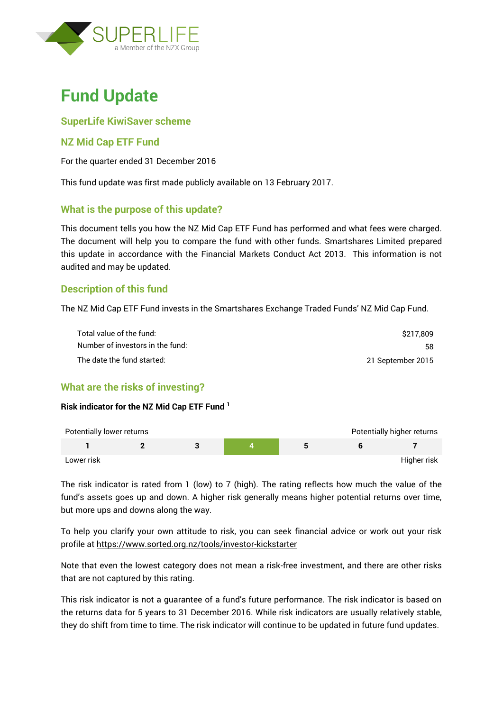

# **Fund Update**

## **SuperLife KiwiSaver scheme**

## **NZ Mid Cap ETF Fund**

For the quarter ended 31 December 2016

This fund update was first made publicly available on 13 February 2017.

## **What is the purpose of this update?**

This document tells you how the NZ Mid Cap ETF Fund has performed and what fees were charged. The document will help you to compare the fund with other funds. Smartshares Limited prepared this update in accordance with the Financial Markets Conduct Act 2013. This information is not audited and may be updated.

## **Description of this fund**

The NZ Mid Cap ETF Fund invests in the Smartshares Exchange Traded Funds' NZ Mid Cap Fund.

| Total value of the fund:         | S217.809          |
|----------------------------------|-------------------|
| Number of investors in the fund: | 58                |
| The date the fund started:       | 21 September 2015 |

## **What are the risks of investing?**

#### **Risk indicator for the NZ Mid Cap ETF Fund <sup>1</sup>**

| Potentially lower returns |  |  | Potentially higher returns |
|---------------------------|--|--|----------------------------|
|                           |  |  |                            |
| Lower risk                |  |  | Higher risk                |

The risk indicator is rated from 1 (low) to 7 (high). The rating reflects how much the value of the fund's assets goes up and down. A higher risk generally means higher potential returns over time, but more ups and downs along the way.

To help you clarify your own attitude to risk, you can seek financial advice or work out your risk profile at<https://www.sorted.org.nz/tools/investor-kickstarter>

Note that even the lowest category does not mean a risk-free investment, and there are other risks that are not captured by this rating.

This risk indicator is not a guarantee of a fund's future performance. The risk indicator is based on the returns data for 5 years to 31 December 2016. While risk indicators are usually relatively stable, they do shift from time to time. The risk indicator will continue to be updated in future fund updates.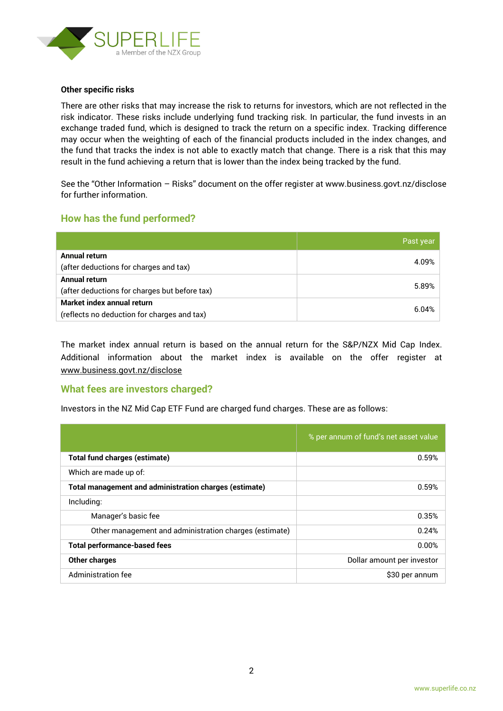

#### **Other specific risks**

There are other risks that may increase the risk to returns for investors, which are not reflected in the risk indicator. These risks include underlying fund tracking risk. In particular, the fund invests in an exchange traded fund, which is designed to track the return on a specific index. Tracking difference may occur when the weighting of each of the financial products included in the index changes, and the fund that tracks the index is not able to exactly match that change. There is a risk that this may result in the fund achieving a return that is lower than the index being tracked by the fund.

See the "Other Information – Risks" document on the offer register at www.business.govt.nz/disclose for further information.

## **How has the fund performed?**

|                                               | Past year |
|-----------------------------------------------|-----------|
| Annual return                                 |           |
| (after deductions for charges and tax)        | 4.09%     |
| Annual return                                 | 5.89%     |
| (after deductions for charges but before tax) |           |
| Market index annual return                    | 6.04%     |
| (reflects no deduction for charges and tax)   |           |

The market index annual return is based on the annual return for the S&P/NZX Mid Cap Index. Additional information about the market index is available on the offer register at [www.business.govt.nz/disclose](http://www.business.govt.nz/disclose)

#### **What fees are investors charged?**

Investors in the NZ Mid Cap ETF Fund are charged fund charges. These are as follows:

|                                                               | % per annum of fund's net asset value |
|---------------------------------------------------------------|---------------------------------------|
| <b>Total fund charges (estimate)</b>                          | 0.59%                                 |
| Which are made up of:                                         |                                       |
| <b>Total management and administration charges (estimate)</b> | 0.59%                                 |
| Including:                                                    |                                       |
| Manager's basic fee                                           | 0.35%                                 |
| Other management and administration charges (estimate)        | 0.24%                                 |
| <b>Total performance-based fees</b>                           | 0.00%                                 |
| <b>Other charges</b>                                          | Dollar amount per investor            |
| Administration fee                                            | \$30 per annum                        |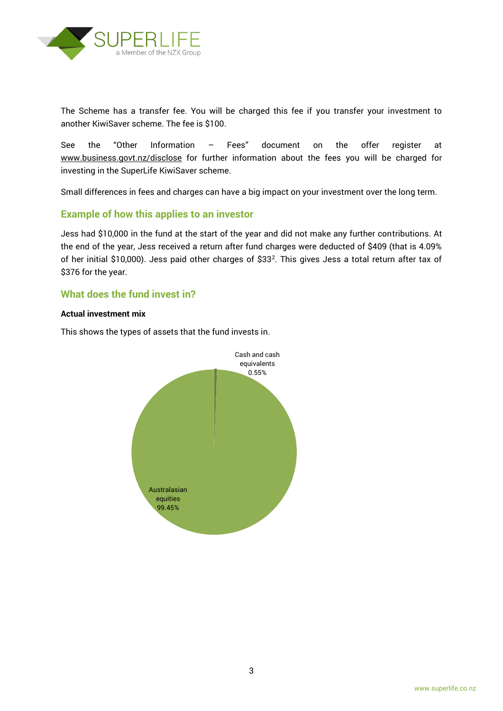

The Scheme has a transfer fee. You will be charged this fee if you transfer your investment to another KiwiSaver scheme. The fee is \$100.

See the "Other Information – Fees" document on the offer register at www.business.govt.nz/disclose for further information about the fees you will be charged for investing in the SuperLife KiwiSaver scheme.

Small differences in fees and charges can have a big impact on your investment over the long term.

## **Example of how this applies to an investor**

Jess had \$10,000 in the fund at the start of the year and did not make any further contributions. At the end of the year, Jess received a return after fund charges were deducted of \$409 (that is 4.09% of her initial \$10,000). Jess paid other charges of \$33<sup>2</sup>. This gives Jess a total return after tax of \$376 for the year.

#### **What does the fund invest in?**

#### **Actual investment mix**

This shows the types of assets that the fund invests in.

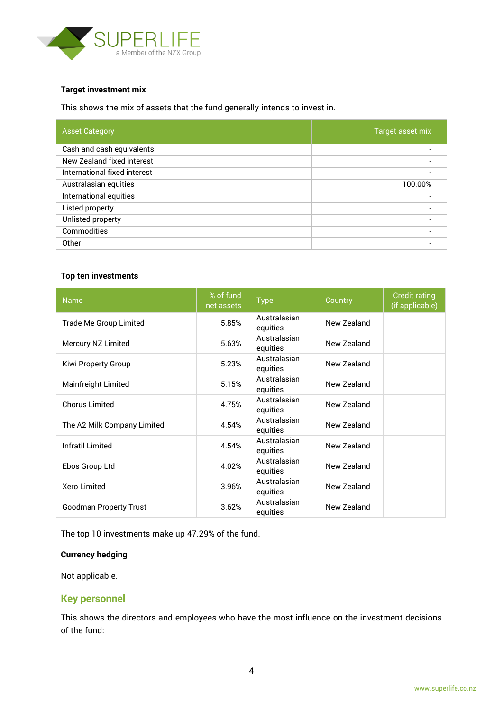

#### **Target investment mix**

This shows the mix of assets that the fund generally intends to invest in.

| <b>Asset Category</b>        | Target asset mix |
|------------------------------|------------------|
| Cash and cash equivalents    |                  |
| New Zealand fixed interest   |                  |
| International fixed interest |                  |
| Australasian equities        | 100.00%          |
| International equities       |                  |
| Listed property              |                  |
| Unlisted property            |                  |
| Commodities                  |                  |
| Other                        |                  |

#### **Top ten investments**

| <b>Name</b>                   | % of fund<br>net assets | <b>Type</b>              | Country     | <b>Credit rating</b><br>(if applicable) |
|-------------------------------|-------------------------|--------------------------|-------------|-----------------------------------------|
| Trade Me Group Limited        | 5.85%                   | Australasian<br>equities | New Zealand |                                         |
| Mercury NZ Limited            | 5.63%                   | Australasian<br>equities | New Zealand |                                         |
| Kiwi Property Group           | 5.23%                   | Australasian<br>equities | New Zealand |                                         |
| Mainfreight Limited           | 5.15%                   | Australasian<br>equities | New Zealand |                                         |
| <b>Chorus Limited</b>         | 4.75%                   | Australasian<br>equities | New Zealand |                                         |
| The A2 Milk Company Limited   | 4.54%                   | Australasian<br>equities | New Zealand |                                         |
| Infratil Limited              | 4.54%                   | Australasian<br>equities | New Zealand |                                         |
| Ebos Group Ltd                | 4.02%                   | Australasian<br>equities | New Zealand |                                         |
| <b>Xero Limited</b>           | 3.96%                   | Australasian<br>equities | New Zealand |                                         |
| <b>Goodman Property Trust</b> | 3.62%                   | Australasian<br>equities | New Zealand |                                         |

The top 10 investments make up 47.29% of the fund.

#### **Currency hedging**

Not applicable.

#### **Key personnel**

This shows the directors and employees who have the most influence on the investment decisions of the fund: